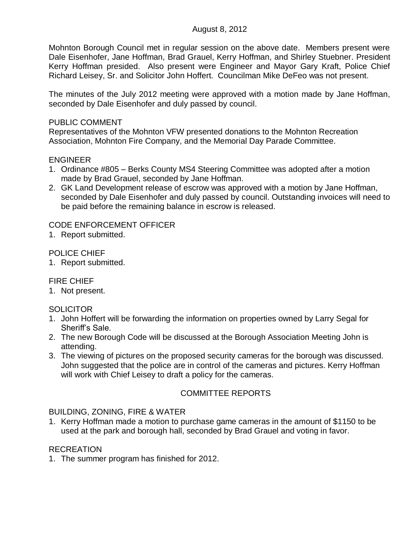### August 8, 2012

Mohnton Borough Council met in regular session on the above date. Members present were Dale Eisenhofer, Jane Hoffman, Brad Grauel, Kerry Hoffman, and Shirley Stuebner. President Kerry Hoffman presided. Also present were Engineer and Mayor Gary Kraft, Police Chief Richard Leisey, Sr. and Solicitor John Hoffert. Councilman Mike DeFeo was not present.

The minutes of the July 2012 meeting were approved with a motion made by Jane Hoffman, seconded by Dale Eisenhofer and duly passed by council.

### PUBLIC COMMENT

Representatives of the Mohnton VFW presented donations to the Mohnton Recreation Association, Mohnton Fire Company, and the Memorial Day Parade Committee.

### ENGINEER

- 1. Ordinance #805 Berks County MS4 Steering Committee was adopted after a motion made by Brad Grauel, seconded by Jane Hoffman.
- 2. GK Land Development release of escrow was approved with a motion by Jane Hoffman, seconded by Dale Eisenhofer and duly passed by council. Outstanding invoices will need to be paid before the remaining balance in escrow is released.

# CODE ENFORCEMENT OFFICER

1. Report submitted.

# POLICE CHIEF

1. Report submitted.

### FIRE CHIEF

1. Not present.

# **SOLICITOR**

- 1. John Hoffert will be forwarding the information on properties owned by Larry Segal for Sheriff's Sale.
- 2. The new Borough Code will be discussed at the Borough Association Meeting John is attending.
- 3. The viewing of pictures on the proposed security cameras for the borough was discussed. John suggested that the police are in control of the cameras and pictures. Kerry Hoffman will work with Chief Leisey to draft a policy for the cameras.

# COMMITTEE REPORTS

### BUILDING, ZONING, FIRE & WATER

1. Kerry Hoffman made a motion to purchase game cameras in the amount of \$1150 to be used at the park and borough hall, seconded by Brad Grauel and voting in favor.

### **RECREATION**

1. The summer program has finished for 2012.